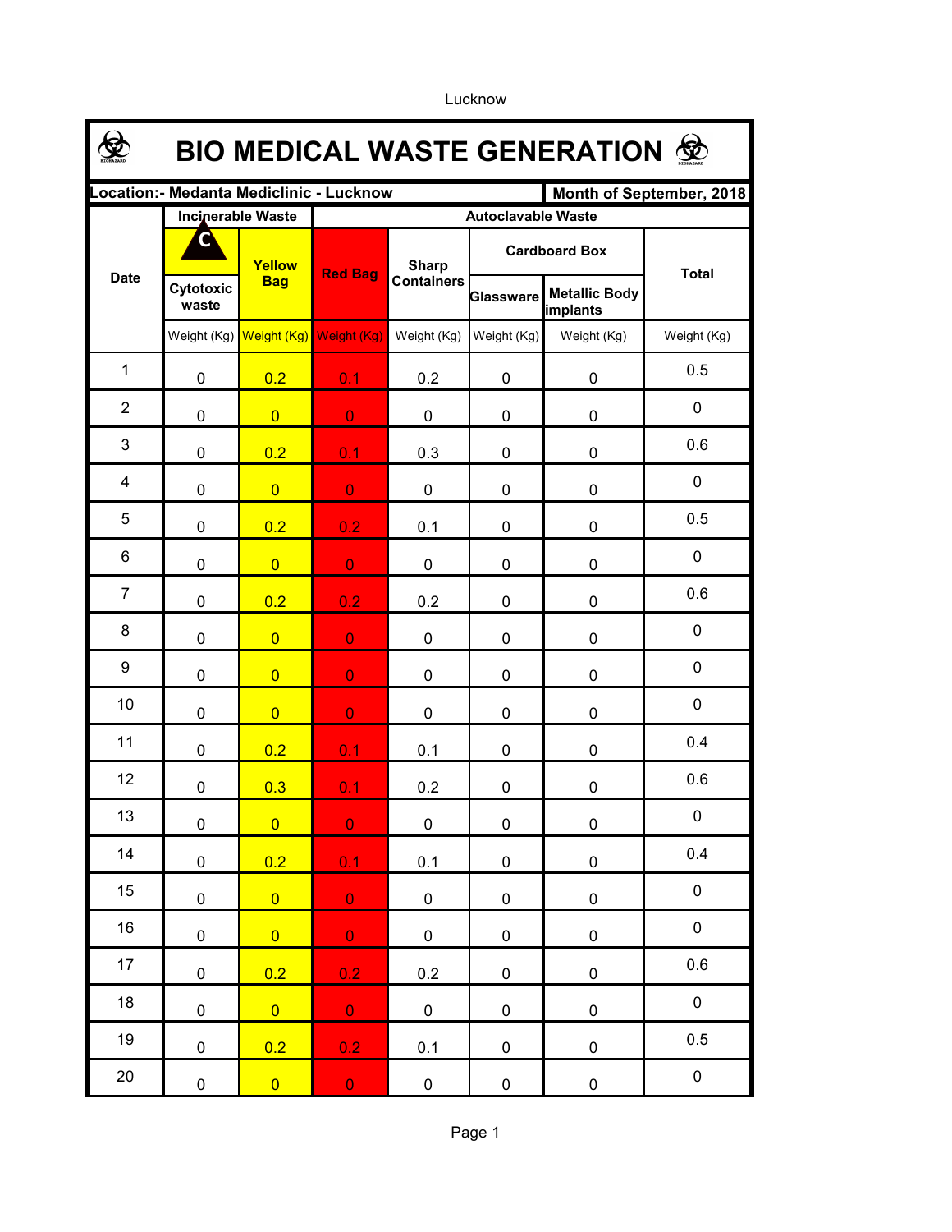**\$ BIO MEDICAL WASTE GENERATION Location:- Medanta Mediclinic - Lucknow Month of September, 2018 Incinerable Waste Autoclavable Waste CCardboard Box Yellow Sharp**  Date **Red Bag**<br>**Red Bag**<br>**Red Bag Total Bag Cytotoxic Metallic Body Glassware waste implants** Weight (Kg) Weight (Kg) Weight (Kg) Weight (Kg) Weight (Kg) Weight (Kg) Weight (Kg) 1 0.5 0 <mark>0.2 0.1</mark> 0.2 0 0 2 0 0 <mark>0 0 0 0 0 0 0</mark> 0 3 0.6 0 <mark>0.2 0.1</mark> 0.3 0 0 4 0 0 <mark>0 0 0 0 0 0 0</mark> 0 5 0.5 0 <mark>0.2 0.2</mark> 0.1 0 0 6 0 0 <mark>0 0 0 0 0 0 0</mark> 0 7 0.6 0 <mark>0.2 0.2</mark> 0.2 0 0 0 8 0 0 <mark>0 0 0 0 0 0 0</mark> 0 9 0 0 <mark>0 0 0 0 0 0 0</mark> 0  $\Omega$ 10 0 <mark>0 0 0 0</mark> 0 0 0 0.4 11 0 <mark>0.2 0.1</mark> 0.1 0 0 0.6 12 0 0.3 0.1 0.2 0 0 0 13 0 <mark>0 0 0</mark> 0 0 0 0 0.4 14 0 <mark>0.2 0.1</mark> 0.1 0 0 0 15 0 0 0 0 0 0 0 0 0 16 0 0 0 0 0 0 0 0 0 0.6 17 0 0.2 0.2 0.2 0 0 0 0 18 0 <mark>0 0 0</mark> 0 0 0 0 0.5 19 0 0.2 0.2 0.1 0 0 0 20 0 0 0 0 0 0 0 0 0

Lucknow